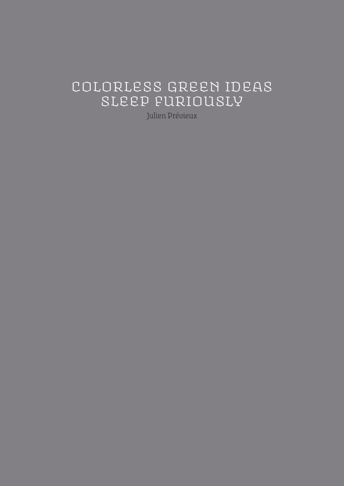#### **Colorless green ideas sleep furiously**

**Julien Prévieux**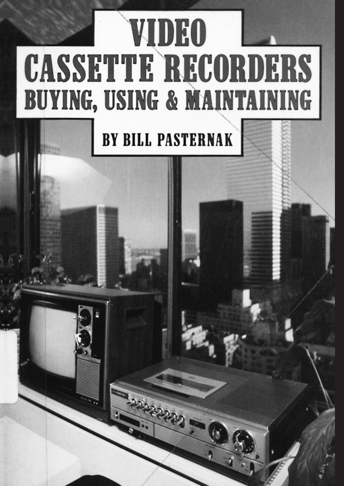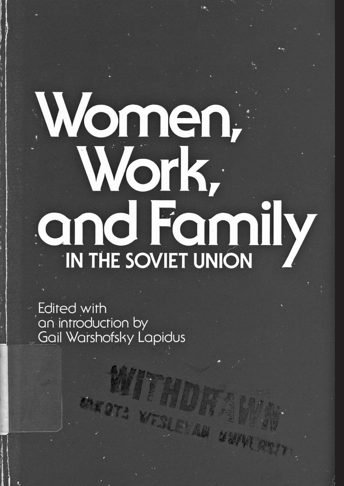## Women, Work, and Family IN THE SOVIET UNION

Edited with an introduction by Gail Warshofsky Lapidus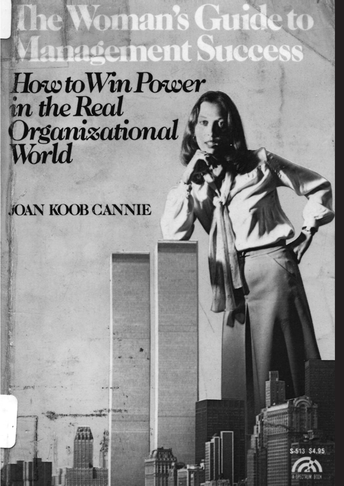### **Lanagement Success** How to Win Power in the Real Organizational

he Woman's Guide to

### **JOAN KOOB CANNIE**

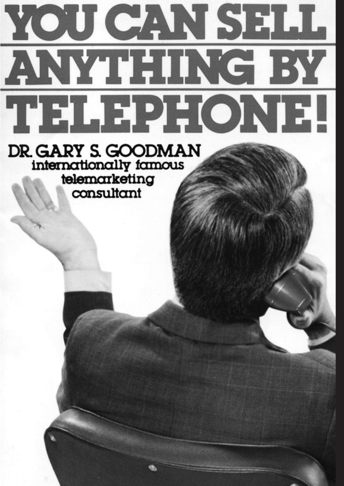## YOU CAN SELL ANYTHING BY THLEPHONE.

DR. GARY S. GOODMAN internationally famous telemarketing consultant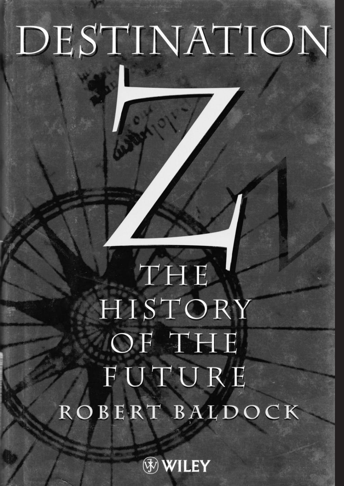# DESTINATION

### THE HISTORY OF THE FUTURE ROBERT BALDOCK

WILEY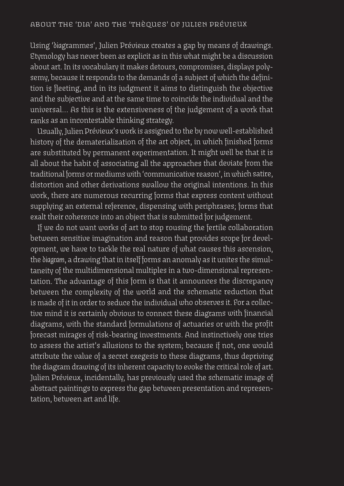**Using '***dia***grammes', Julien Prévieux creates <sup>a</sup> gap by means of drawings. Etymology has never been as explicit as in this what might be <sup>a</sup> discussion about art. In its vocabulary it makes detours, compromises, displays polysemy, because it responds to the demands of <sup>a</sup> subject of which the definition is fleeting, and in its judgment it aims to distinguish the objective and the subjective and at the same time to coincide the individual and the universal… As this is the extensiveness of the judgement of <sup>a</sup> work that ranks as an incontestable thinking strategy.**

**Usually, Julien Prévieux'swork is assigned to the by nowwell-established history of the dematerialization of the art object, in which finished forms are substituted by permanent experimentation. It might well be that it is all about the habit of associating all the approaches that deviate from the traditional forms ormediumswith 'communicative reason', inwhich satire, distortion and other derivations swallow the original intentions. In this work, there are numerous recurring forms that express content without supplying an external reference, dispensing with periphrases; forms that exalt their coherence into an object that is submitted forjudgement.**

**If we do not want works of art to stop rousing the fertile collaboration between sensitive imagination and reason that provides scope for development, we have to tackle the real nature of what causes this ascension, the** *diagram***, <sup>a</sup> drawing that in itself forms an anomaly as it unites the simultaneity of the multidimensional multiples in <sup>a</sup> two-dimensional representation. The advantage of this form is that it announces the discrepancy between the complexity of the world and the schematic reduction that is made of it in orderto seduce the individual who observes it. For <sup>a</sup> collective mind it is certainly obvious to connect these diagrams with financial diagrams, with the standard formulations of actuaries or with the profit forecast mirages of risk-bearing investments. And instinctively one tries to assess the artist's allusions to the system; because if not, one would attribute the value of <sup>a</sup> secret exegesis to these diagrams, thus depriving the diagram drawing of its inherent capacity to evoke the criticalrole of art. Julien Prévieux, incidentally, has previously used the schematic image of abstract paintings to express the gap between presentation and representation, between art and life.**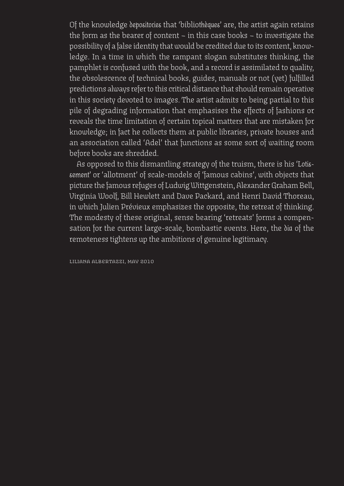**Of the knowledge** *depositories* **that 'biblio***thèques***' are, the artist again retains the form as the bearer of content – in this case books – to investigate the possibility of a false identity thatwould be credited due to its content, knowledge. In a time in which the rampant slogan substitutes thinking, the pamphlet is confused with the book, and a record is assimilated to quality, the obsolescence of technical books, guides, manuals or not (yet) fulfilled predictions always referto this critical distance that should remain operative in this society devoted to images. The artist admits to being partial to this pile of degrading information that emphasises the effects of fashions or reveals the time limitation of certain topical matters that are mistaken for knowledge; in fact he collects them at public libraries, private houses and an association called 'Adel' that functions as some sort of waiting room before books are shredded.**

**As opposed to this dismantling strategy of the truism, there is his '***Lotissement'* **or 'allotment' of scale-models of 'famous cabins', with objects that picture the famous refuges of Ludwig Wittgenstein, AlexanderGraham Bell, Virginia Woolf, Bill Hewlett and Dave Packard, and Henri David Thoreau, in which Julien Prévieux emphasizes the opposite, the retreat of thinking. The modesty of these original, sense bearing 'retreats' forms a compensation for the current large-scale, bombastic events. Here, the** *dia* **of the remoteness tightens up the ambitions of genuine legitimacy.**

**Liliana Albertazzi, may 2010**